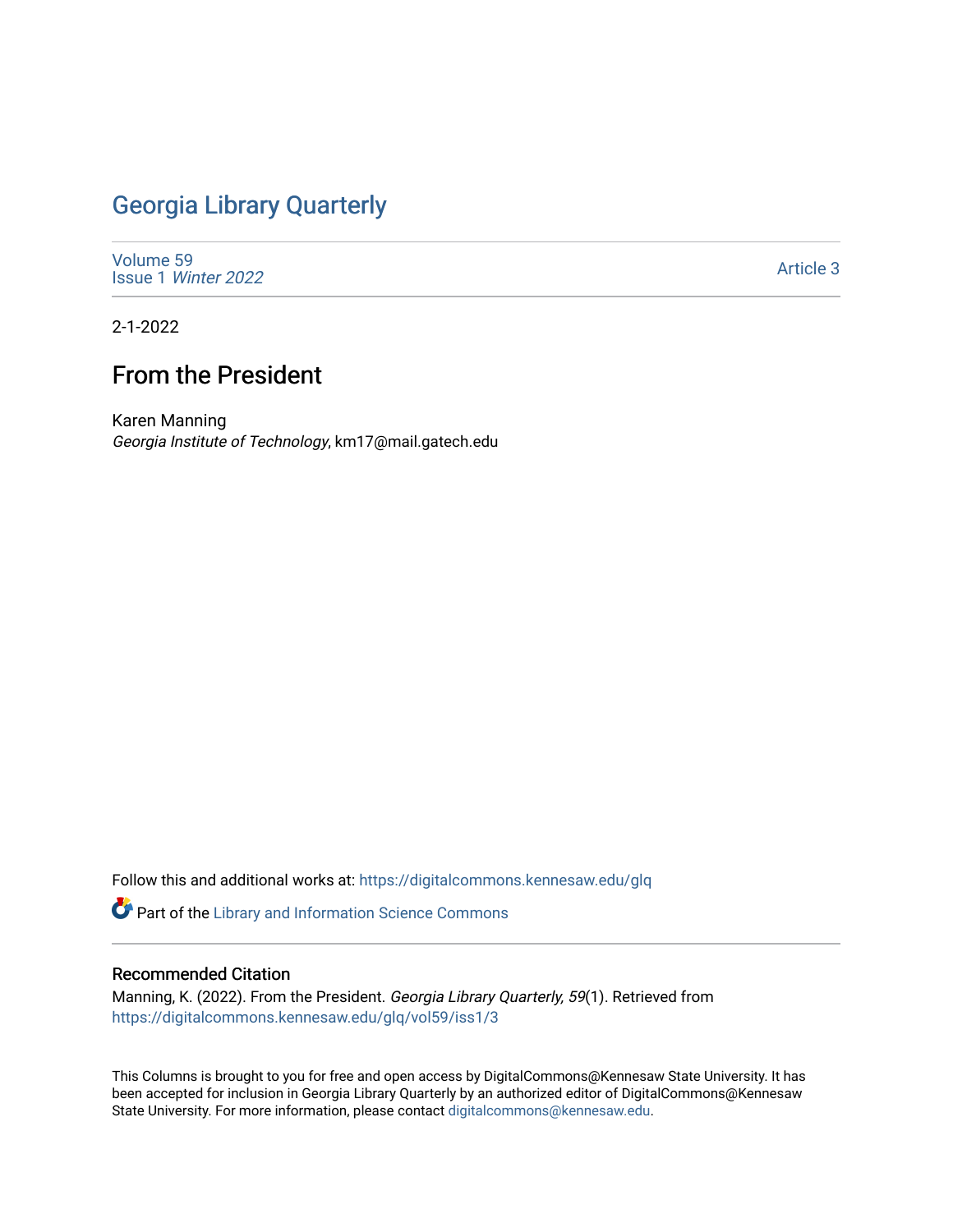## [Georgia Library Quarterly](https://digitalcommons.kennesaw.edu/glq)

[Volume 59](https://digitalcommons.kennesaw.edu/glq/vol59) Issue 1 [Winter 2022](https://digitalcommons.kennesaw.edu/glq/vol59/iss1) 

[Article 3](https://digitalcommons.kennesaw.edu/glq/vol59/iss1/3) 

2-1-2022

## From the President

Karen Manning Georgia Institute of Technology, km17@mail.gatech.edu

Follow this and additional works at: [https://digitalcommons.kennesaw.edu/glq](https://digitalcommons.kennesaw.edu/glq?utm_source=digitalcommons.kennesaw.edu%2Fglq%2Fvol59%2Fiss1%2F3&utm_medium=PDF&utm_campaign=PDFCoverPages) 

Part of the [Library and Information Science Commons](http://network.bepress.com/hgg/discipline/1018?utm_source=digitalcommons.kennesaw.edu%2Fglq%2Fvol59%2Fiss1%2F3&utm_medium=PDF&utm_campaign=PDFCoverPages) 

## Recommended Citation

Manning, K. (2022). From the President. Georgia Library Quarterly, 59(1). Retrieved from [https://digitalcommons.kennesaw.edu/glq/vol59/iss1/3](https://digitalcommons.kennesaw.edu/glq/vol59/iss1/3?utm_source=digitalcommons.kennesaw.edu%2Fglq%2Fvol59%2Fiss1%2F3&utm_medium=PDF&utm_campaign=PDFCoverPages) 

This Columns is brought to you for free and open access by DigitalCommons@Kennesaw State University. It has been accepted for inclusion in Georgia Library Quarterly by an authorized editor of DigitalCommons@Kennesaw State University. For more information, please contact [digitalcommons@kennesaw.edu.](mailto:digitalcommons@kennesaw.edu)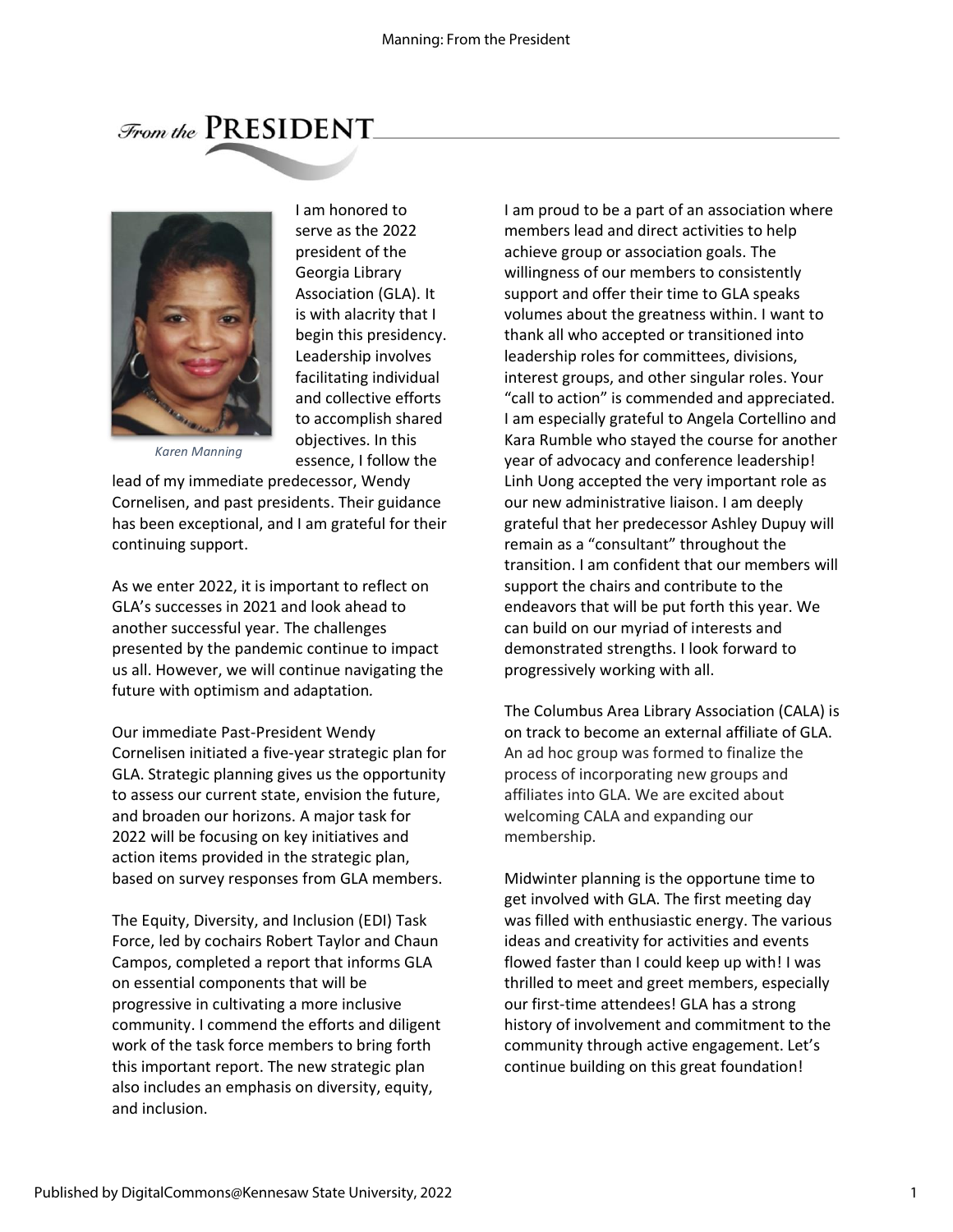$\mathcal{F}_{\text{rom the}}$  PRESIDENT



I am honored to serve as the 2022 president of the Georgia Library Association (GLA). It is with alacrity that I begin this presidency. Leadership involves facilitating individual and collective efforts to accomplish shared objectives. In this essence, I follow the

*Karen Manning*

lead of my immediate predecessor, Wendy Cornelisen, and past presidents. Their guidance has been exceptional, and I am grateful for their continuing support.

As we enter 2022, it is important to reflect on GLA's successes in 2021 and look ahead to another successful year. The challenges presented by the pandemic continue to impact us all. However, we will continue navigating the future with optimism and adaptation*.*

Our immediate Past-President Wendy Cornelisen initiated a five-year strategic plan for GLA. Strategic planning gives us the opportunity to assess our current state, envision the future, and broaden our horizons. A major task for 2022 will be focusing on key initiatives and action items provided in the strategic plan, based on survey responses from GLA members.

The Equity, Diversity, and Inclusion (EDI) Task Force, led by cochairs Robert Taylor and Chaun Campos, completed a report that informs GLA on essential components that will be progressive in cultivating a more inclusive community. I commend the efforts and diligent work of the task force members to bring forth this important report. The new strategic plan also includes an emphasis on diversity, equity, and inclusion.

I am proud to be a part of an association where members lead and direct activities to help achieve group or association goals. The willingness of our members to consistently support and offer their time to GLA speaks volumes about the greatness within. I want to thank all who accepted or transitioned into leadership roles for committees, divisions, interest groups, and other singular roles. Your "call to action" is commended and appreciated. I am especially grateful to Angela Cortellino and Kara Rumble who stayed the course for another year of advocacy and conference leadership! Linh Uong accepted the very important role as our new administrative liaison. I am deeply grateful that her predecessor Ashley Dupuy will remain as a "consultant" throughout the transition. I am confident that our members will support the chairs and contribute to the endeavors that will be put forth this year. We can build on our myriad of interests and demonstrated strengths. I look forward to progressively working with all.

The Columbus Area Library Association (CALA) is on track to become an external affiliate of GLA. An ad hoc group was formed to finalize the process of incorporating new groups and affiliates into GLA. We are excited about welcoming CALA and expanding our membership.

Midwinter planning is the opportune time to get involved with GLA. The first meeting day was filled with enthusiastic energy. The various ideas and creativity for activities and events flowed faster than I could keep up with! I was thrilled to meet and greet members, especially our first-time attendees! GLA has a strong history of involvement and commitment to the community through active engagement. Let's continue building on this great foundation!